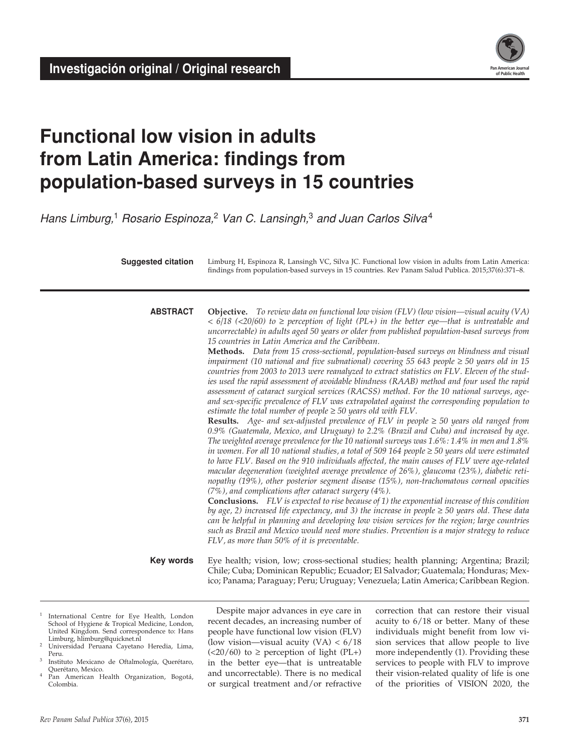

# **Functional low vision in adults from Latin America: findings from population-based surveys in 15 countries**

*Hans Limburg,*1 *Rosario Espinoza,*2 *Van C. Lansingh,*3 *and Juan Carlos Silva*<sup>4</sup>

Limburg H, Espinoza R, Lansingh VC, Silva JC. Functional low vision in adults from Latin America: findings from population-based surveys in 15 countries. Rev Panam Salud Publica. 2015;37(6):371–8. **Suggested citation**

**abstract**

**Objective.** *To review data on functional low vision (FLV) (low vision—visual acuity (VA) < 6/18 (<20/60) to* ≥ *perception of light (PL+) in the better eye—that is untreatable and uncorrectable) in adults aged 50 years or older from published population-based surveys from 15 countries in Latin America and the Caribbean.*

**Methods.** *Data from 15 cross-sectional, population-based surveys on blindness and visual impairment (10 national and five subnational) covering 55 643 people ≥ 50 years old in 15 countries from 2003 to 2013 were reanalyzed to extract statistics on FLV. Eleven of the stud*ies used the rapid assessment of avoidable blindness (RAAB) method and four used the rapid *assessment of cataract surgical services (RACSS) method. For the 10 national surveys, ageand sex-specific prevalence of FLV was extrapolated against the corresponding population to estimate the total number of people*  $\geq$  50 *years old with FLV*.

**Results.** *Age- and sex-adjusted prevalence of FLV in people* ≥ *50 years old ranged from 0.9% (Guatemala, Mexico, and Uruguay) to 2.2% (Brazil and Cuba) and increased by age. The weighted average prevalence for the 10 national surveys was 1.6%: 1.4% in men and 1.8% in women. For all 10 national studies, a total of 509 164 people ≥ 50 years old were estimated to have FLV. Based on the 910 individuals affected, the main causes of FLV were age-related macular degeneration (weighted average prevalence of 26%), glaucoma (23%), diabetic retinopathy (19%), other posterior segment disease (15%), non-trachomatous corneal opacities (7%), and complications after cataract surgery (4%).* 

**Conclusions.** *FLV is expected to rise because of 1) the exponential increase of this condition by age, 2) increased life expectancy, and 3) the increase in people* ≥ *50 years old. These data can be helpful in planning and developing low vision services for the region; large countries such as Brazil and Mexico would need more studies. Prevention is a major strategy to reduce FLV, as more than 50% of it is preventable.*

**Key words**

Eye health; vision, low; cross-sectional studies; health planning; Argentina; Brazil; Chile; Cuba; Dominican Republic; Ecuador; El Salvador; Guatemala; Honduras; Mexico; Panama; Paraguay; Peru; Uruguay; Venezuela; Latin America; Caribbean Region.

- <sup>1</sup> International Centre for Eye Health, London School of Hygiene & Tropical Medicine, London, United Kingdom. Send correspondence to: Hans Limburg, hlimburg@quicknet.nl
- <sup>2</sup> Universidad Peruana Cayetano Heredia, Lima, Peru.
- Instituto Mexicano de Oftalmología, Querétaro, Querétaro, Mexico.
- Pan American Health Organization, Bogotá, Colombia.

Despite major advances in eye care in recent decades, an increasing number of people have functional low vision (FLV) (low vision—visual acuity  $(VA) < 6/18$  $(<20/60)$  to  $\ge$  perception of light (PL+) in the better eye—that is untreatable and uncorrectable). There is no medical or surgical treatment and/or refractive correction that can restore their visual acuity to 6/18 or better. Many of these individuals might benefit from low vision services that allow people to live more independently (1). Providing these services to people with FLV to improve their vision-related quality of life is one of the priorities of VISION 2020, the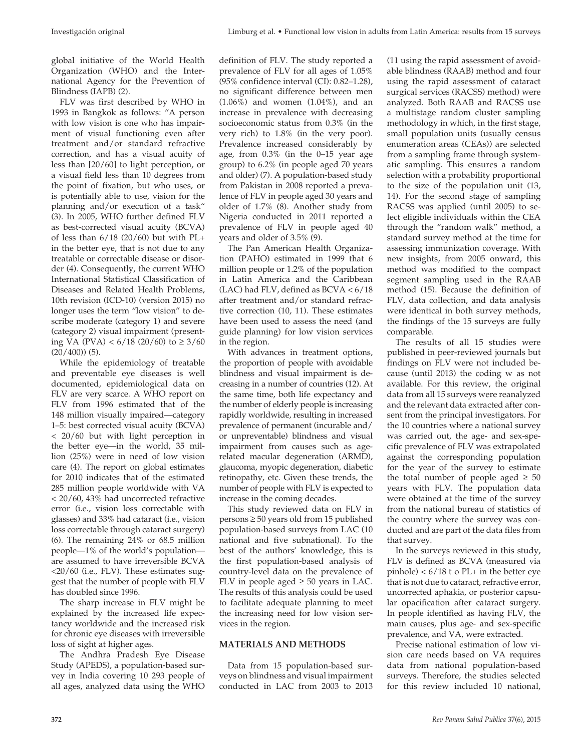global initiative of the World Health Organization (WHO) and the International Agency for the Prevention of Blindness (IAPB) (2).

FLV was first described by WHO in 1993 in Bangkok as follows: "A person with low vision is one who has impairment of visual functioning even after treatment and/or standard refractive correction, and has a visual acuity of less than [20/60] to light perception, or a visual field less than 10 degrees from the point of fixation, but who uses, or is potentially able to use, vision for the planning and/or execution of a task" (3). In 2005, WHO further defined FLV as best-corrected visual acuity (BCVA) of less than  $6/18$  (20/60) but with PL+ in the better eye, that is not due to any treatable or correctable disease or disorder (4). Consequently, the current WHO International Statistical Classification of Diseases and Related Health Problems, 10th revision (ICD-10) (version 2015) no longer uses the term "low vision" to describe moderate (category 1) and severe (category 2) visual impairment (presenting VA (PVA) < 6/18 (20/60) to ≥ 3/60  $(20/400)$  (5).

While the epidemiology of treatable and preventable eye diseases is well documented, epidemiological data on FLV are very scarce. A WHO report on FLV from 1996 estimated that of the 148 million visually impaired—category 1–5: best corrected visual acuity (BCVA) < 20/60 but with light perception in the better eye—in the world, 35 million (25%) were in need of low vision care (4). The report on global estimates for 2010 indicates that of the estimated 285 million people worldwide with VA < 20/60, 43% had uncorrected refractive error (i.e., vision loss correctable with glasses) and 33% had cataract (i.e., vision loss correctable through cataract surgery) (6). The remaining 24% or 68.5 million people—1% of the world's population are assumed to have irreversible BCVA <20/60 (i.e., FLV). These estimates suggest that the number of people with FLV has doubled since 1996.

The sharp increase in FLV might be explained by the increased life expectancy worldwide and the increased risk for chronic eye diseases with irreversible loss of sight at higher ages.

The Andhra Pradesh Eye Disease Study (APEDS), a population-based survey in India covering 10 293 people of all ages, analyzed data using the WHO

definition of FLV. The study reported a prevalence of FLV for all ages of 1.05% (95% confidence interval (CI): 0.82–1.28), no significant difference between men (1.06%) and women (1.04%), and an increase in prevalence with decreasing socioeconomic status from 0.3% (in the very rich) to 1.8% (in the very poor). Prevalence increased considerably by age, from 0.3% (in the 0–15 year age group) to 6.2% (in people aged 70 years and older) (7). A population-based study from Pakistan in 2008 reported a prevalence of FLV in people aged 30 years and older of 1.7% (8). Another study from Nigeria conducted in 2011 reported a prevalence of FLV in people aged 40 years and older of 3.5% (9).

The Pan American Health Organization (PAHO) estimated in 1999 that 6 million people or 1.2% of the population in Latin America and the Caribbean (LAC) had FLV, defined as  $BCVA < 6/18$ after treatment and/or standard refractive correction (10, 11). These estimates have been used to assess the need (and guide planning) for low vision services in the region.

With advances in treatment options, the proportion of people with avoidable blindness and visual impairment is decreasing in a number of countries (12). At the same time, both life expectancy and the number of elderly people is increasing rapidly worldwide, resulting in increased prevalence of permanent (incurable and/ or unpreventable) blindness and visual impairment from causes such as agerelated macular degeneration (ARMD), glaucoma, myopic degeneration, diabetic retinopathy, etc. Given these trends, the number of people with FLV is expected to increase in the coming decades.

This study reviewed data on FLV in persons ≥ 50 years old from 15 published population-based surveys from LAC (10 national and five subnational). To the best of the authors' knowledge, this is the first population-based analysis of country-level data on the prevalence of FLV in people aged  $≥$  50 years in LAC. The results of this analysis could be used to facilitate adequate planning to meet the increasing need for low vision services in the region.

## **MATERIALS AND METHODS**

Data from 15 population-based surveys on blindness and visual impairment conducted in LAC from 2003 to 2013

(11 using the rapid assessment of avoidable blindness (RAAB) method and four using the rapid assessment of cataract surgical services (RACSS) method) were analyzed. Both RAAB and RACSS use a multistage random cluster sampling methodology in which, in the first stage, small population units (usually census enumeration areas (CEAs)) are selected from a sampling frame through systematic sampling. This ensures a random selection with a probability proportional to the size of the population unit (13, 14). For the second stage of sampling RACSS was applied (until 2005) to select eligible individuals within the CEA through the "random walk" method, a standard survey method at the time for assessing immunization coverage. With new insights, from 2005 onward, this method was modified to the compact segment sampling used in the RAAB method (15). Because the definition of FLV, data collection, and data analysis were identical in both survey methods, the findings of the 15 surveys are fully comparable.

The results of all 15 studies were published in peer-reviewed journals but findings on FLV were not included because (until 2013) the coding w as not available. For this review, the original data from all 15 surveys were reanalyzed and the relevant data extracted after consent from the principal investigators. For the 10 countries where a national survey was carried out, the age- and sex-specific prevalence of FLV was extrapolated against the corresponding population for the year of the survey to estimate the total number of people aged  $\geq 50$ years with FLV. The population data were obtained at the time of the survey from the national bureau of statistics of the country where the survey was conducted and are part of the data files from that survey.

In the surveys reviewed in this study, FLV is defined as BCVA (measured via pinhole)  $< 6/18$  t o PL+ in the better eye that is not due to cataract, refractive error, uncorrected aphakia, or posterior capsular opacification after cataract surgery. In people identified as having FLV, the main causes, plus age- and sex-specific prevalence, and VA, were extracted.

Precise national estimation of low vision care needs based on VA requires data from national population-based surveys. Therefore, the studies selected for this review included 10 national,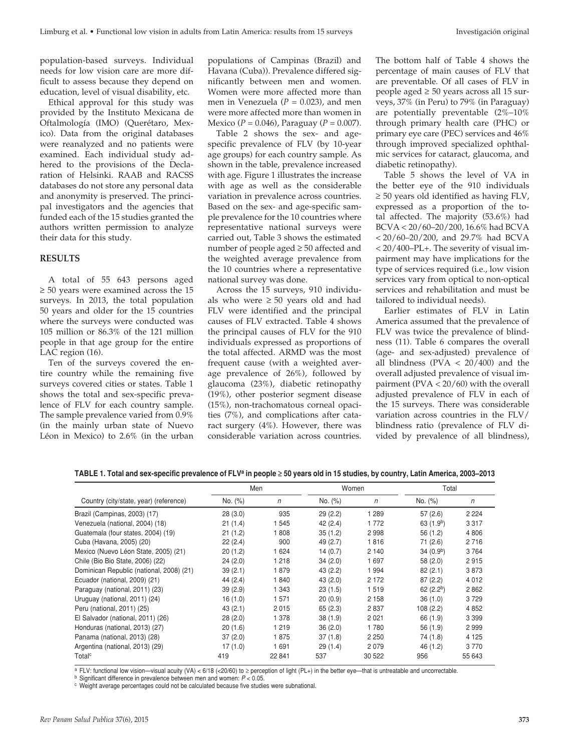population-based surveys. Individual needs for low vision care are more difficult to assess because they depend on education, level of visual disability, etc.

Ethical approval for this study was provided by the Instituto Mexicana de Oftalmología (IMO) (Querétaro, Mexico). Data from the original databases were reanalyzed and no patients were examined. Each individual study adhered to the provisions of the Declaration of Helsinki. RAAB and RACSS databases do not store any personal data and anonymity is preserved. The principal investigators and the agencies that funded each of the 15 studies granted the authors written permission to analyze their data for this study.

## **Results**

A total of 55 643 persons aged  $\geq$  50 years were examined across the 15 surveys. In 2013, the total population 50 years and older for the 15 countries where the surveys were conducted was 105 million or 86.3% of the 121 million people in that age group for the entire LAC region (16).

Ten of the surveys covered the entire country while the remaining five surveys covered cities or states. Table 1 shows the total and sex-specific prevalence of FLV for each country sample. The sample prevalence varied from 0.9% (in the mainly urban state of Nuevo Léon in Mexico) to 2.6% (in the urban

populations of Campinas (Brazil) and Havana (Cuba)). Prevalence differed significantly between men and women. Women were more affected more than men in Venezuela ( $P = 0.023$ ), and men were more affected more than women in Mexico (*P* = 0.046), Paraguay (*P* = 0.007).

Table 2 shows the sex- and agespecific prevalence of FLV (by 10-year age groups) for each country sample. As shown in the table, prevalence increased with age. Figure 1 illustrates the increase with age as well as the considerable variation in prevalence across countries. Based on the sex- and age-specific sample prevalence for the 10 countries where representative national surveys were carried out, Table 3 shows the estimated number of people aged ≥ 50 affected and the weighted average prevalence from the 10 countries where a representative national survey was done.

Across the 15 surveys, 910 individuals who were  $\geq 50$  years old and had FLV were identified and the principal causes of FLV extracted. Table 4 shows the principal causes of FLV for the 910 individuals expressed as proportions of the total affected. ARMD was the most frequent cause (with a weighted average prevalence of 26%), followed by glaucoma (23%), diabetic retinopathy (19%), other posterior segment disease (15%), non-trachomatous corneal opacities (7%), and complications after cataract surgery (4%). However, there was considerable variation across countries.

The bottom half of Table 4 shows the percentage of main causes of FLV that are preventable. Of all cases of FLV in people aged  $\geq 50$  years across all 15 surveys, 37% (in Peru) to 79% (in Paraguay) are potentially preventable (2%–10% through primary health care (PHC) or primary eye care (PEC) services and 46% through improved specialized ophthalmic services for cataract, glaucoma, and diabetic retinopathy).

Table 5 shows the level of VA in the better eye of the 910 individuals ≥ 50 years old identified as having FLV, expressed as a proportion of the total affected. The majority (53.6%) had BCVA < 20/60–20/200, 16.6% had BCVA < 20/60–20/200, and 29.7% had BCVA < 20/400–PL+. The severity of visual impairment may have implications for the type of services required (i.e., low vision services vary from optical to non-optical services and rehabilitation and must be tailored to individual needs).

Earlier estimates of FLV in Latin America assumed that the prevalence of FLV was twice the prevalence of blindness (11). Table 6 compares the overall (age- and sex-adjusted) prevalence of all blindness ( $PVA < 20/400$ ) and the overall adjusted prevalence of visual impairment (PVA < 20/60) with the overall adjusted prevalence of FLV in each of the 15 surveys. There was considerable variation across countries in the FLV/ blindness ratio (prevalence of FLV divided by prevalence of all blindness),

| TABLE 1. Total and sex-specific prevalence of FLVª in people ≥ 50 years old in 15 studies, by country, Latin America, 2003–2013 |  |  |  |
|---------------------------------------------------------------------------------------------------------------------------------|--|--|--|
|---------------------------------------------------------------------------------------------------------------------------------|--|--|--|

|                                          | Men      |         |          | Women   | Total                 |         |
|------------------------------------------|----------|---------|----------|---------|-----------------------|---------|
| Country (city/state, year) (reference)   | No. (%)  | n       | No. (%)  | n       | No. (%)               | n       |
| Brazil (Campinas, 2003) (17)             | 28(3.0)  | 935     | 29(2.2)  | 1 289   | 57(2.6)               | 2 2 2 4 |
| Venezuela (national, 2004) (18)          | 21(1.4)  | 1 5 4 5 | 42 (2.4) | 1772    | 63(1.9 <sup>b</sup> ) | 3317    |
| Guatemala (four states, 2004) (19)       | 21(1.2)  | 1808    | 35(1.2)  | 2998    | 56 (1.2)              | 4 8 0 6 |
| Cuba (Havana, 2005) (20)                 | 22(2.4)  | 900     | 49 (2.7) | 1816    | 71(2.6)               | 2716    |
| Mexico (Nuevo Léon State, 2005) (21)     | 20(1.2)  | 1 6 2 4 | 14(0.7)  | 2 1 4 0 | 34(0.9 <sup>b</sup> ) | 3764    |
| Chile (Bio Bio State, 2006) (22)         | 24(2.0)  | 1 2 1 8 | 34(2.0)  | 1697    | 58 (2.0)              | 2915    |
| Dominican Republic (national, 2008) (21) | 39(2.1)  | 1879    | 43 (2.2) | 1994    | 82(2.1)               | 3873    |
| Ecuador (national, 2009) (21)            | 44(2.4)  | 1840    | 43(2.0)  | 2 1 7 2 | 87(2.2)               | 4 0 1 2 |
| Paraguay (national, 2011) (23)           | 39(2.9)  | 1 343   | 23(1.5)  | 1519    | 62(2.2 <sup>b</sup> ) | 2862    |
| Uruguay (national, 2011) (24)            | 16(1.0)  | 1 571   | 20(0.9)  | 2 1 5 8 | 36(1.0)               | 3729    |
| Peru (national, 2011) (25)               | 43(2.1)  | 2015    | 65(2.3)  | 2837    | 108(2.2)              | 4 8 5 2 |
| El Salvador (national, 2011) (26)        | 28(2.0)  | 1 378   | 38(1.9)  | 2021    | 66 (1.9)              | 3 3 9 9 |
| Honduras (national, 2013) (27)           | 20(1.6)  | 1 2 1 9 | 36(2.0)  | 1780    | 56 (1.9)              | 2999    |
| Panama (national, 2013) (28)             | 37(2.0)  | 1875    | 37(1.8)  | 2 2 5 0 | 74 (1.8)              | 4 1 2 5 |
| Argentina (national, 2013) (29)          | 17 (1.0) | 1691    | 29(1.4)  | 2079    | 46 (1.2)              | 3 7 7 0 |
| Total <sup>c</sup>                       | 419      | 22 841  | 537      | 30 522  | 956                   | 55 643  |

<sup>a</sup> FLV: functional low vision—visual acuity (VA) < 6/18 (<20/60) to ≥ perception of light (PL+) in the better eye—that is untreatable and uncorrectable.

<sup>b</sup> Significant difference in prevalence between men and women: *P* < 0.05.

<sup>c</sup> Weight average percentages could not be calculated because five studies were subnational.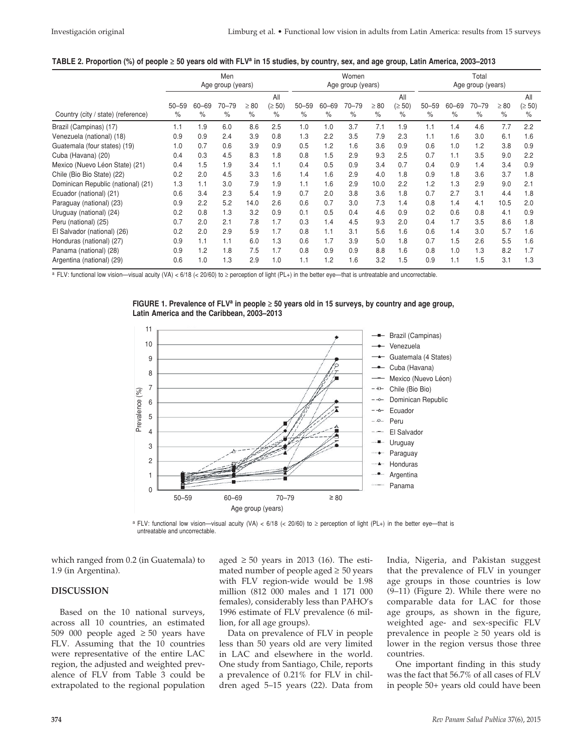#### **Table 2. Proportion (%) of people** ≥ **50 years old with FLVa in 15 studies, by country, sex, and age group, Latin America, 2003–2013**

|                                    | Men<br>Age group (years) |                   |                   |                   |                            | Women<br>Age group (years) |                   |                   |                   |                       | Total<br>Age group (years) |                   |                   |                   |                            |
|------------------------------------|--------------------------|-------------------|-------------------|-------------------|----------------------------|----------------------------|-------------------|-------------------|-------------------|-----------------------|----------------------------|-------------------|-------------------|-------------------|----------------------------|
| Country (city / state) (reference) | $50 - 59$<br>$\%$        | $60 - 69$<br>$\%$ | $70 - 79$<br>$\%$ | $\geq 80$<br>$\%$ | All<br>$( \ge 50)$<br>$\%$ | $50 - 59$<br>$\%$          | $60 - 69$<br>$\%$ | $70 - 79$<br>$\%$ | $\geq 80$<br>$\%$ | All<br>(≥ 50)<br>$\%$ | $50 - 59$<br>$\%$          | $60 - 69$<br>$\%$ | $70 - 79$<br>$\%$ | $\geq 80$<br>$\%$ | All<br>$(\geq 50)$<br>$\%$ |
| Brazil (Campinas) (17)             | 1.1                      | 1.9               | 6.0               | 8.6               | 2.5                        | 1.0                        | 1.0               | 3.7               | 7.1               | 1.9                   | 1.1                        | 1.4               | 4.6               | 7.7               | 2.2                        |
| Venezuela (national) (18)          | 0.9                      | 0.9               | 2.4               | 3.9               | 0.8                        | 1.3                        | 2.2               | 3.5               | 7.9               | 2.3                   | 1.1                        | 1.6               | 3.0               | 6.1               | 1.6                        |
| Guatemala (four states) (19)       | 1.0                      | 0.7               | 0.6               | 3.9               | 0.9                        | 0.5                        | 1.2               | 1.6               | 3.6               | 0.9                   | 0.6                        | 1.0               | 1.2               | 3.8               | 0.9                        |
| Cuba (Havana) (20)                 | 0.4                      | 0.3               | 4.5               | 8.3               | 1.8                        | 0.8                        | 1.5               | 2.9               | 9.3               | 2.5                   | 0.7                        | 1.1               | 3.5               | 9.0               | 2.2                        |
| Mexico (Nuevo Léon State) (21)     | 0.4                      | 1.5               | 1.9               | 3.4               | 1.1                        | 0.4                        | 0.5               | 0.9               | 3.4               | 0.7                   | 0.4                        | 0.9               | 1.4               | 3.4               | 0.9                        |
| Chile (Bio Bio State) (22)         | 0.2                      | 2.0               | 4.5               | 3.3               | 1.6                        | 1.4                        | 1.6               | 2.9               | 4.0               | 1.8                   | 0.9                        | 1.8               | 3.6               | 3.7               | 1.8                        |
| Dominican Republic (national) (21) | 1.3                      | 1.1               | 3.0               | 7.9               | 1.9                        | 1.1                        | 1.6               | 2.9               | 10.0              | 2.2                   | 1.2                        | 1.3               | 2.9               | 9.0               | 2.1                        |
| Ecuador (national) (21)            | 0.6                      | 3.4               | 2.3               | 5.4               | 1.9                        | 0.7                        | 2.0               | 3.8               | 3.6               | 1.8                   | 0.7                        | 2.7               | 3.1               | 4.4               | 1.8                        |
| Paraguay (national) (23)           | 0.9                      | 2.2               | 5.2               | 14.0              | 2.6                        | 0.6                        | 0.7               | 3.0               | 7.3               | 1.4                   | 0.8                        | 1.4               | 4.1               | 10.5              | 2.0                        |
| Uruguay (national) (24)            | 0.2                      | 0.8               | 1.3               | 3.2               | 0.9                        | 0.1                        | 0.5               | 0.4               | 4.6               | 0.9                   | 0.2                        | 0.6               | 0.8               | 4.1               | 0.9                        |
| Peru (national) (25)               | 0.7                      | 2.0               | 2.1               | 7.8               | 1.7                        | 0.3                        | 1.4               | 4.5               | 9.3               | 2.0                   | 0.4                        | 1.7               | 3.5               | 8.6               | 1.8                        |
| El Salvador (national) (26)        | 0.2                      | 2.0               | 2.9               | 5.9               | 1.7                        | 0.8                        | 1.1               | 3.1               | 5.6               | 1.6                   | 0.6                        | 1.4               | 3.0               | 5.7               | 1.6                        |
| Honduras (national) (27)           | 0.9                      | 1.1               | 1.1               | 6.0               | 1.3                        | 0.6                        | 1.7               | 3.9               | 5.0               | 1.8                   | 0.7                        | 1.5               | 2.6               | 5.5               | 1.6                        |
| Panama (national) (28)             | 0.9                      | 1.2               | 1.8               | 7.5               | 1.7                        | 0.8                        | 0.9               | 0.9               | 8.8               | 1.6                   | 0.8                        | 1.0               | 1.3               | 8.2               | 1.7                        |
| Argentina (national) (29)          | 0.6                      | 1.0               | 1.3               | 2.9               | 1.0                        | 1.1                        | 1.2               | 1.6               | 3.2               | 1.5                   | 0.9                        | 1.1               | 1.5               | 3.1               | 1.3                        |

<sup>a</sup> FLV: functional low vision—visual acuity (VA) < 6/18 (< 20/60) to ≥ perception of light (PL+) in the better eye—that is untreatable and uncorrectable.





a FLV: functional low vision—visual acuity (VA) <  $6/18$  (<  $20/60$ ) to ≥ perception of light (PL+) in the better eye—that is untreatable and uncorrectable.

which ranged from 0.2 (in Guatemala) to 1.9 (in Argentina).

## **Discussion**

Based on the 10 national surveys, across all 10 countries, an estimated 509 000 people aged  $\geq 50$  years have FLV. Assuming that the 10 countries were representative of the entire LAC region, the adjusted and weighted prevalence of FLV from Table 3 could be extrapolated to the regional population

aged  $\geq 50$  years in 2013 (16). The estimated number of people aged  $\geq 50$  years with FLV region-wide would be 1.98 million (812 000 males and 1 171 000 females), considerably less than PAHO's 1996 estimate of FLV prevalence (6 million, for all age groups).

Data on prevalence of FLV in people less than 50 years old are very limited in LAC and elsewhere in the world. One study from Santiago, Chile, reports a prevalence of 0.21% for FLV in children aged 5–15 years (22). Data from India, Nigeria, and Pakistan suggest that the prevalence of FLV in younger age groups in those countries is low (9–11) (Figure 2). While there were no comparable data for LAC for those age groups, as shown in the figure, weighted age- and sex-specific FLV prevalence in people  $\geq 50$  years old is lower in the region versus those three countries.

One important finding in this study was the fact that 56.7% of all cases of FLV in people 50+ years old could have been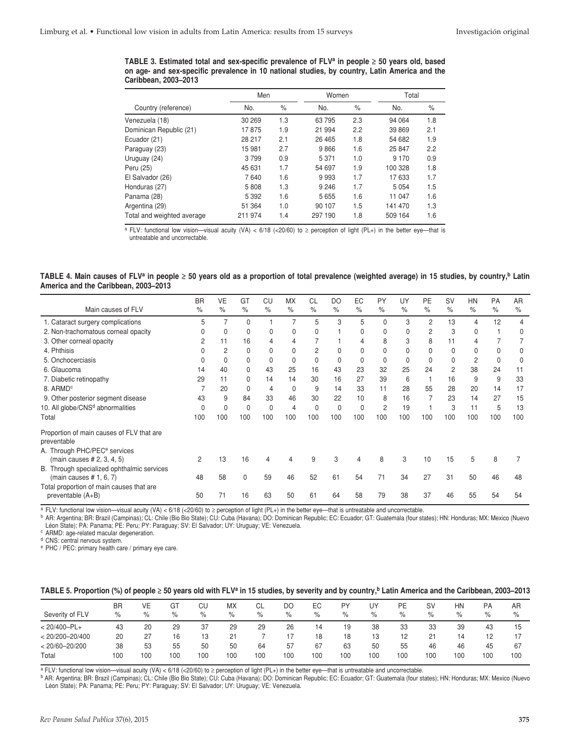**TABLE 3. Estimated total and sex-specific prevalence of FLVa in people** ≥ **50 years old, based on age- and sex-specific prevalence in 10 national studies, by country, Latin America and the Caribbean, 2003–2013**

|                            | Men     |      | Women   |      | Total   |      |
|----------------------------|---------|------|---------|------|---------|------|
| Country (reference)        | No.     | $\%$ | No.     | $\%$ | No.     | $\%$ |
| Venezuela (18)             | 30 269  | 1.3  | 63 795  | 2.3  | 94 064  | 1.8  |
| Dominican Republic (21)    | 17875   | 1.9  | 21 994  | 2.2  | 39 869  | 2.1  |
| Ecuador (21)               | 28 217  | 2.1  | 26 4 65 | 1.8  | 54 682  | 1.9  |
| Paraguay (23)              | 15 981  | 2.7  | 9866    | 1.6  | 25 847  | 2.2  |
| Uruguay (24)               | 3799    | 0.9  | 5 3 7 1 | 1.0  | 9 1 7 0 | 0.9  |
| Peru (25)                  | 45 631  | 1.7  | 54 697  | 1.9  | 100 328 | 1.8  |
| El Salvador (26)           | 7640    | 1.6  | 9993    | 1.7  | 17633   | 1.7  |
| Honduras (27)              | 5808    | 1.3  | 9 2 4 6 | 1.7  | 5 0 5 4 | 1.5  |
| Panama (28)                | 5 3 9 2 | 1.6  | 5 6 5 5 | 1.6  | 11 047  | 1.6  |
| Argentina (29)             | 51 364  | 1.0  | 90 107  | 1.5  | 141 470 | 1.3  |
| Total and weighted average | 211 974 | 1.4  | 297 190 | 1.8  | 509 164 | 1.6  |

 $\overline{P(X)}$  functional low vision—visual acuity (VA) < 6/18 (<20/60) to  $\ge$  perception of light (PL+) in the better eye—that is untreatable and uncorrectable.

|                                      | TABLE 4. Main causes of FLVª in people ≥ 50 years old as a proportion of total prevalence (weighted average) in 15 studies, by country, <sup>b</sup> Latin |  |
|--------------------------------------|------------------------------------------------------------------------------------------------------------------------------------------------------------|--|
| America and the Caribbean, 2003-2013 |                                                                                                                                                            |  |

|                                                               | <b>BR</b> | VE             | GT            | CU            | <b>MX</b>     | <b>CL</b> | DO            | EC            | PY            | UY            | PE             | <b>SV</b>      | <b>HN</b>     | PA          | AR            |
|---------------------------------------------------------------|-----------|----------------|---------------|---------------|---------------|-----------|---------------|---------------|---------------|---------------|----------------|----------------|---------------|-------------|---------------|
| Main causes of FLV                                            | $\%$      | $\%$           | $\frac{9}{6}$ | $\frac{9}{6}$ | $\frac{0}{0}$ | $\%$      | $\frac{9}{6}$ | $\frac{9}{6}$ | $\frac{0}{0}$ | $\frac{9}{6}$ | $\frac{9}{6}$  | $\frac{9}{6}$  | $\frac{0}{0}$ | $\%$        | $\frac{0}{0}$ |
| 1. Cataract surgery complications                             | 5         |                | $\Omega$      |               |               | 5         | 3             | 5             | $\Omega$      | 3             | $\overline{2}$ | 13             | 4             | 12          | 4             |
| 2. Non-trachomatous corneal opacity                           |           | 0              | 0             |               | 0             | 0         |               |               | 0             | 0             | 2              | 3              | <sup>0</sup>  |             | $\Omega$      |
| 3. Other corneal opacity                                      |           | 11             | 16            |               | 4             |           |               | 4             | 8             | 3             | 8              |                | 4             |             |               |
| 4. Phthisis                                                   |           | $\overline{2}$ | $\Omega$      |               | $\Omega$      | 2         | 0             |               | 0             | 0             | 0              | <sup>0</sup>   | <sup>0</sup>  | $\Omega$    | $\Omega$      |
| 5. Onchocerciasis                                             |           | 0              | 0             | 0             | $\Omega$      | 0         | $\Omega$      | 0             | $\Omega$      | 0             | $\Omega$       | 0              | 2             | $\mathbf 0$ | $\Omega$      |
| 6. Glaucoma                                                   | 14        | 40             |               | 43            | 25            | 16        | 43            | 23            | 32            | 25            | 24             | $\overline{2}$ | 38            | 24          | 11            |
| 7. Diabetic retinopathy                                       | 29        | 11             | $\Omega$      | 14            | 14            | 30        | 16            | 27            | 39            | 6             |                | 16             | 9             | 9           | 33            |
| 8. ARMD <sup>c</sup>                                          |           | 20             | <sup>0</sup>  | 4             | O             | 9         | 14            | 33            | 11            | 28            | 55             | 28             | 20            | 14          | 17            |
| 9. Other posterior segment disease                            | 43        | 9              | 84            | 33            | 46            | 30        | 22            | 10            | 8             | 16            |                | 23             | 14            | 27          | 15            |
| 10. All globe/CNS <sup>d</sup> abnormalities                  |           | $\mathbf 0$    | $\Omega$      | O             | 4             | 0         | 0             | 0             | 2             | 19            |                | 3              | 11            | 5           | 13            |
| Total                                                         | 100       | 100            | 100           | 100           | 100           | 100       | 100           | 100           | 100           | 100           | 100            | 100            | 100           | 100         | 100           |
| Proportion of main causes of FLV that are<br>preventable      |           |                |               |               |               |           |               |               |               |               |                |                |               |             |               |
| A. Through PHC/PEC <sup>e</sup> services                      |           |                |               |               |               |           |               |               |               |               |                |                |               |             |               |
| (main causes # 2, 3, 4, 5)                                    | 2         | 13             | 16            | 4             | 4             | 9         | 3             |               | 8             | 3             | 10             | 15             | 5             | 8           |               |
| B. Through specialized ophthalmic services                    |           |                |               |               |               |           |               |               |               |               |                |                |               |             |               |
| (main causes $# 1, 6, 7$ )                                    | 48        | 58             | $\Omega$      | 59            | 46            | 52        | 61            | 54            | 71            | 34            | 27             | 31             | 50            | 46          | 48            |
| Total proportion of main causes that are<br>preventable (A+B) | 50        | 71             | 16            | 63            | 50            | 61        | 64            | 58            | 79            | 38            | 37             | 46             | 55            | 54          | 54            |

<sup>a</sup> FLV: functional low vision—visual acuity (VA) < 6/18 (<20/60) to ≥ perception of light (PL+) in the better eye—that is untreatable and uncorrectable.

b AR: Argentina; BR: Brazil (Campinas); CL: Chile (Bio Bio State); CU: Cuba (Havana); DO: Dominican Republic; EC: Ecuador; GT: Guatemala (four states); HN: Honduras; MX: Mexico (Nuevo Léon State); PA: Panama; PE: Peru; PY: Paraguay; SV: El Salvador; UY: Uruguay; VE: Venezuela.

<sup>c</sup> ARMD: age-related macular degeneration.

<sup>d</sup> CNS: central nervous system.

<sup>e</sup> PHC / PEC: primary health care / primary eye care.

|  | TABLE 5. Proportion (%) of people $\geq$ 50 years old with FLV <sup>a</sup> in 15 studies, by severity and by country, <sup>b</sup> Latin America and the Caribbean, 2003–2013 |
|--|--------------------------------------------------------------------------------------------------------------------------------------------------------------------------------|
|  |                                                                                                                                                                                |

| Severity of FLV     | <b>BR</b><br>% | VE<br>% | GT<br>% | СU<br>% | МX<br>% | СL<br>% | DO<br>% | EC<br>% | PY<br>% | UY<br>% | РE<br>% | <b>SV</b><br>% | HN<br>% | PA<br>$\%$ | AR<br>% |
|---------------------|----------------|---------|---------|---------|---------|---------|---------|---------|---------|---------|---------|----------------|---------|------------|---------|
| $< 20/400 - PL +$   | 43             | 20      | 29      | 37      | 29      | 29      | 26      | 14      | 19      | 38      | 33      | 33             | 39      | 43         | 15      |
| $< 20/200 - 20/400$ | 20             | 27      | 16      | 13      | 21      |         | 17      | 18      | 18      | 13      | 12      | 21             | 14      |            |         |
| $< 20/60 - 20/200$  | 38             | 53      | 55      | 50      | 50      | 64      | 57      | 67      | 63      | 50      | 55      | 46             | 46      | 45         | 67      |
| Total               | 100            | 100     | 100     | 100     | 100     | 100     | 100     | 100     | 100     | 100     | 100     | 100            | 100     | 100        | 100     |

a FLV: functional low vision—visual acuity (VA) < 6/18 (<20/60) to ≥ perception of light (PL+) in the better eye—that is untreatable and uncorrectable.

b AR: Argentina; BR: Brazil (Campinas); CL: Chile (Bio Bio State); CU: Cuba (Havana); DO: Dominican Republic; EC: Ecuador; GT: Guatemala (four states); HN: Honduras; MX: Mexico (Nuevo Léon State); PA: Panama; PE: Peru; PY: Paraguay; SV: El Salvador; UY: Uruguay; VE: Venezuela.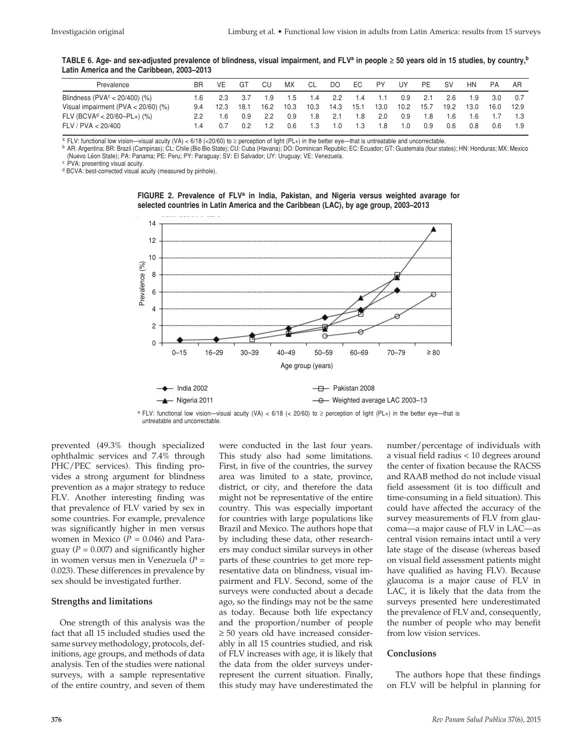| TABLE 6. Age- and sex-adjusted prevalence of blindness, visual impairment, and FLVª in people ≥ 50 years old in 15 studies, by country, <sup>b</sup> |  |  |
|------------------------------------------------------------------------------------------------------------------------------------------------------|--|--|
| Latin America and the Caribbean, 2003–2013                                                                                                           |  |  |

| Prevalence                                | ΒR  | VE   | GT   | CU   | <b>MX</b> | СL   | DO   | EC.  | <b>PY</b> | UY   | PE   | SV   | <b>HN</b> | PA   | AR   |
|-------------------------------------------|-----|------|------|------|-----------|------|------|------|-----------|------|------|------|-----------|------|------|
| Blindness ( $PVAc < 20/400$ ) (%)         |     | 2.3  | 3.7  | 1.9  | 5.1       | 1.4  | 2.2  | 1.4  | 1.1       | 0.9  | -2.1 | 2.6  | 1.9       | 3.0  |      |
| Visual impairment ( $PVA < 20/60$ ) (%)   | 9.4 | 12.3 | 18.1 | 16.2 | 10.3      | 10.3 | 14.3 | 15.1 | 13.0      | 10.2 | 15.7 | 19.2 | 13.0      | 16.0 | 12.9 |
| $FLV$ (BCVA <sup>d</sup> < 20/60-PL+) (%) |     | .6   | 0.9  | 2.2  | 0.9       | 1.8  | 2.1  | .8   | 2.0       | 0.9  | 1.8  | 1.6  | 1.6       |      |      |
| FLV / PVA < 20/400                        |     |      |      |      | 0 6       | 1.3  | 1.0  | .3   | 1.8       | 1.0  | 0.9  | 0.6  | 0.8       | 0.6  |      |

<sup>a</sup> FLV: functional low vision—visual acuity (VA) < 6/18 (<20/60) to ≥ perception of light (PL+) in the better eye—that is untreatable and uncorrectable.

<sup>b</sup> AR: Argentina; BR: Brazil (Campinas); CL: Chile (Bio Bio State); CU: Cuba (Havana); DO: Dominican Republic; EC: Ecuador; GT: Guatemala (four states); HN: Honduras; MX: Mexico (Nuevo Léon State); PA: Panama; PE: Peru; PY: Paraguay; SV: El Salvador; UY: Uruguay; VE: Venezuela.

c PVA: presenting visual acuity.

d BCVA: best-corrected visual acuity (measured by pinhole).





a FLV: functional low vision—visual acuity (VA) <  $6/18$  (<  $20/60$ ) to ≥ perception of light (PL+) in the better eye—that is untreatable and uncorrectable.

prevented (49.3% though specialized ophthalmic services and 7.4% through PHC/PEC services). This finding provides a strong argument for blindness prevention as a major strategy to reduce FLV. Another interesting finding was that prevalence of FLV varied by sex in some countries. For example, prevalence was significantly higher in men versus women in Mexico  $(P = 0.046)$  and Paraguay ( $P = 0.007$ ) and significantly higher in women versus men in Venezuela (*P* = 0.023). These differences in prevalence by sex should be investigated further.

#### **Strengths and limitations**

One strength of this analysis was the fact that all 15 included studies used the same survey methodology, protocols, definitions, age groups, and methods of data analysis. Ten of the studies were national surveys, with a sample representative of the entire country, and seven of them

were conducted in the last four years. This study also had some limitations. First, in five of the countries, the survey area was limited to a state, province, district, or city, and therefore the data might not be representative of the entire country. This was especially important for countries with large populations like Brazil and Mexico. The authors hope that by including these data, other researchers may conduct similar surveys in other parts of these countries to get more representative data on blindness, visual impairment and FLV. Second, some of the surveys were conducted about a decade ago, so the findings may not be the same as today. Because both life expectancy and the proportion/number of people ≥ 50 years old have increased considerably in all 15 countries studied, and risk of FLV increases with age, it is likely that the data from the older surveys underrepresent the current situation. Finally, this study may have underestimated the number/percentage of individuals with a visual field radius < 10 degrees around the center of fixation because the RACSS and RAAB method do not include visual field assessment (it is too difficult and time-consuming in a field situation). This could have affected the accuracy of the survey measurements of FLV from glaucoma—a major cause of FLV in LAC—as central vision remains intact until a very late stage of the disease (whereas based on visual field assessment patients might have qualified as having FLV). Because glaucoma is a major cause of FLV in LAC, it is likely that the data from the surveys presented here underestimated the prevalence of FLV and, consequently, the number of people who may benefit from low vision services.

#### **Conclusions**

The authors hope that these findings on FLV will be helpful in planning for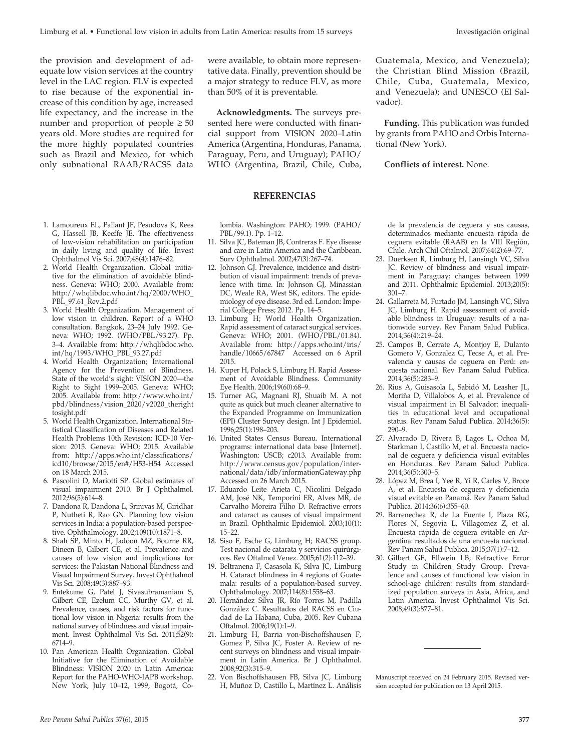the provision and development of adequate low vision services at the country level in the LAC region. FLV is expected to rise because of the exponential increase of this condition by age, increased life expectancy, and the increase in the number and proportion of people  $\geq 50$ years old. More studies are required for the more highly populated countries such as Brazil and Mexico, for which only subnational RAAB/RACSS data

- 1. Lamoureux EL, Pallant JF, Pesudovs K, Rees G, Hassell JB, Keeffe JE. The effectiveness of low-vision rehabilitation on participation in daily living and quality of life. Invest Ophthalmol Vis Sci. 2007;48(4):1476–82.
- 2. World Health Organization. Global initiative for the elimination of avoidable blindness. Geneva: WHO; 2000. Available from: http://whqlibdoc.who.int/hq/2000/WHO\_ PBL\_97.61\_Rev.2.pdf
- 3. World Health Organization. Management of low vision in children. Report of a WHO consultation. Bangkok, 23–24 July 1992. Geneva: WHO; 1992. (WHO/PBL/93.27). Pp. 3–4. Available from: http://whqlibdoc.who. int/hq/1993/WHO\_PBL\_93.27.pdf
- 4. World Health Organization; International Agency for the Prevention of Blindness. State of the world's sight: VISION 2020—the Right to Sight 1999–2005. Geneva: WHO; 2005. Available from: http://www.who.int/ pbd/blindness/vision\_2020/v2020\_theright tosight.pdf
- 5. World Health Organization. International Statistical Classification of Diseases and Related Health Problems 10th Revision: ICD-10 Version: 2015. Geneva: WHO; 2015. Available from: http://apps.who.int/classifications/ icd10/browse/2015/en#/H53-H54 Accessed on 18 March 2015.
- 6. Pascolini D, Mariotti SP. Global estimates of visual impairment 2010. Br J Ophthalmol. 2012;96(5):614–8.
- 7. Dandona R, Dandona L, Srinivas M, Giridhar P, Nutheti R, Rao GN. Planning low vision services in India: a population-based perspective. Ophthalmology. 2002;109(10):1871–8.
- 8. Shah SP, Minto H, Jadoon MZ, Bourne RR, Dineen B, Gilbert CE, et al. Prevalence and causes of low vision and implications for services: the Pakistan National Blindness and Visual Impairment Survey. Invest Ophthalmol Vis Sci. 2008;49(3):887–93.
- 9. Entekume G, Patel J, Sivasubramaniam S, Gilbert CE, Ezelum CC, Murthy GV, et al. Prevalence, causes, and risk factors for functional low vision in Nigeria: results from the national survey of blindness and visual impairment. Invest Ophthalmol Vis Sci. 2011;52(9): 6714–9.
- 10. Pan American Health Organization. Global Initiative for the Elimination of Avoidable Blindness: VISION 2020 in Latin America: Report for the PAHO-WHO-IAPB workshop. New York, July 10–12, 1999, Bogotá, Co-

were available, to obtain more representative data. Finally, prevention should be a major strategy to reduce FLV, as more than 50% of it is preventable.

**Acknowledgments.** The surveys presented here were conducted with financial support from VISION 2020–Latin America (Argentina, Honduras, Panama, Paraguay, Peru, and Uruguay); PAHO/ WHO (Argentina, Brazil, Chile, Cuba,

#### **REFERENCIAS**

lombia. Washington: PAHO; 1999. (PAHO/ PBL/99.1). Pp. 1–12.

- 11. Silva JC, Bateman JB, Contreras F. Eye disease and care in Latin America and the Caribbean. Surv Ophthalmol. 2002;47(3):267–74.
- 12. Johnson GJ. Prevalence, incidence and distribution of visual impairment: trends of prevalence with time. In: Johnson GJ, Minassian DC, Weale RA, West SK, editors. The epidemiology of eye disease. 3rd ed. London: Imperial College Press; 2012. Pp. 14-5.
- 13. Limburg H; World Health Organization. Rapid assessment of cataract surgical services. Geneva: WHO; 2001. (WHO/PBL/01.84). Available from: http://apps.who.int/iris/ handle/10665/67847 Accessed on 6 April 2015.
- 14. Kuper H, Polack S, Limburg H. Rapid Assessment of Avoidable Blindness. Community Eye Health. 2006;19(60):68–9.
- 15. Turner AG, Magnani RJ, Shuaib M. A not quite as quick but much cleaner alternative to the Expanded Programme on Immunization (EPI) Cluster Survey design. Int J Epidemiol. 1996;25(1):198–203.
- 16. United States Census Bureau. International programs: international data base [Internet]. Washington: USCB; c2013. Available from: http://www.census.gov/population/international/data/idb/informationGateway.php Accessed on 26 March 2015.
- 17. Eduardo Leite Arieta C, Nicolini Delgado AM, José NK, Temporini ER, Alves MR, de Carvalho Moreira Filho D. Refractive errors and cataract as causes of visual impairment in Brazil. Ophthalmic Epidemiol. 2003;10(1): 15–22.
- 18. Siso F, Esche G, Limburg H; RACSS group. Test nacional de catarata y servicios quirúrgicos. Rev Oftalmol Venez. 2005;61(2):112–39.
- 19. Beltranena F, Casasola K, Silva JC, Limburg H. Cataract blindness in 4 regions of Guatemala: results of a population-based survey. Ophthalmology. 2007;114(8):1558–63.
- 20. Hernández Silva JR, Río Torres M, Padilla González C. Resultados del RACSS en Ciudad de La Habana, Cuba, 2005. Rev Cubana Oftalmol. 2006;19(1):1–9.
- 21. Limburg H, Barria von-Bischoffshausen F, Gomez P, Silva JC, Foster A. Review of recent surveys on blindness and visual impairment in Latin America. Br J Ophthalmol. 2008;92(3):315–9.
- 22. Von Bischoffshausen FB, Silva JC, Limburg H, Muñoz D, Castillo L, Martínez L. Análisis

Guatemala, Mexico, and Venezuela); the Christian Blind Mission (Brazil, Chile, Cuba, Guatemala, Mexico, and Venezuela); and UNESCO (El Salvador).

**Funding.** This publication was funded by grants from PAHO and Orbis International (New York).

#### **Conflicts of interest.** None.

de la prevalencia de ceguera y sus causas, determinados mediante encuesta rápida de ceguera evitable (RAAB) en la VIII Región, Chile. Arch Chil Oftalmol. 2007;64(2):69–77.

- 23. Duerksen R, Limburg H, Lansingh VC, Silva JC. Review of blindness and visual impairment in Paraguay: changes between 1999 and 2011. Ophthalmic Epidemiol. 2013;20(5): 301–7.
- 24. Gallarreta M, Furtado JM, Lansingh VC, Silva JC, Limburg H. Rapid assessment of avoidable blindness in Uruguay: results of a nationwide survey. Rev Panam Salud Publica. 2014;36(4):219–24.
- 25. Campos B, Cerrate A, Montjoy E, Dulanto Gomero V, Gonzalez C, Tecse A, et al. Prevalencia y causas de ceguera en Perú: encuesta nacional. Rev Panam Salud Publica. 2014;36(5):283–9.
- 26. Rius A, Guisasola L, Sabidó M, Leasher JL, Moriña D, Villalobos A, et al. Prevalence of visual impairment in El Salvador: inequalities in educational level and occupational status. Rev Panam Salud Publica. 2014;36(5): 290–9.
- 27. Alvarado D, Rivera B, Lagos L, Ochoa M, Starkman I, Castillo M, et al. Encuesta nacional de ceguera y deficiencia visual evitables en Honduras. Rev Panam Salud Publica. 2014;36(5):300–5.
- 28. López M, Brea I, Yee R, Yi R, Carles V, Broce A, et al. Encuesta de ceguera y deficiencia visual evitable en Panamá. Rev Panam Salud Publica. 2014;36(6):355–60.
- 29. Barrenechea R, de La Fuente I, Plaza RG, Flores N, Segovia L, Villagomez Z, et al. Encuesta rápida de ceguera evitable en Argentina: resultados de una encuesta nacional. Rev Panam Salud Publica. 2015;37(1):7–12.
- 30. Gilbert GE, Ellwein LB; Refractive Error Study in Children Study Group. Prevalence and causes of functional low vision in school-age children: results from standardized population surveys in Asia, Africa, and Latin America. Invest Ophthalmol Vis Sci. 2008;49(3):877–81.

Manuscript received on 24 February 2015. Revised version accepted for publication on 13 April 2015.